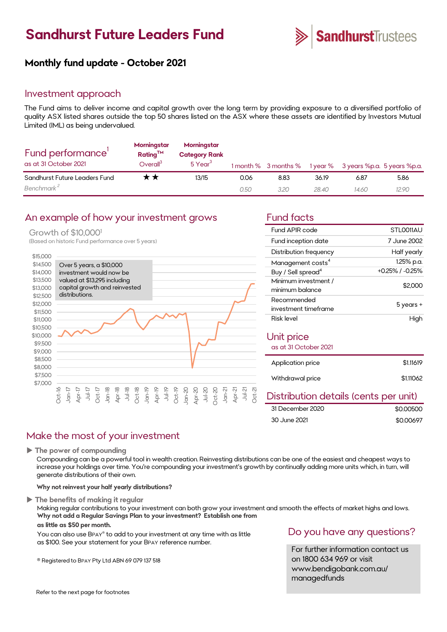# **Sandhurst Future Leaders Fund**



## **Monthly fund update - October 2021**

## Investment approach

The Fund aims to deliver income and capital growth over the long term by providing exposure to a diversified portfolio of quality ASX listed shares outside the top 50 shares listed on the ASX where these assets are identified by Investors Mutual Limited (IML) as being undervalued.

| Fund performance'<br>as at 31 October 2021 | Morningstar<br>Rating <sup>TM</sup><br>Overall <sup>3</sup> | Morningstar<br><b>Category Rank</b><br>$5$ Year $^3$ |      |      |       | 1 month % 3 months % 1 year % 3 years %p.a. 5 years %p.a. |       |
|--------------------------------------------|-------------------------------------------------------------|------------------------------------------------------|------|------|-------|-----------------------------------------------------------|-------|
| Sandhurst Future Leaders Fund              | **                                                          | 13/15                                                | 0.06 | 8.83 | 36.19 | 6.87                                                      | 5.86  |
| Benchmark <sup>2</sup>                     |                                                             |                                                      | 0.50 | 3.20 | 28.40 | 14.60                                                     | 12.90 |

## An example of how your investment grows Fund facts

#### Growth of \$10,000<sup>1</sup>

(Based on historic Fund performance over 5 years)



| Fund APIR code                          | STLO011AU       |  |  |  |
|-----------------------------------------|-----------------|--|--|--|
| Fund inception date                     | 7 June 2002     |  |  |  |
| Distribution frequency                  | Half yearly     |  |  |  |
| Management costs <sup>4</sup>           | 1.25% p.a.      |  |  |  |
| Buy / Sell spread <sup>4</sup>          | +0.25% / -0.25% |  |  |  |
| Minimum investment /<br>minimum balance | \$2,000         |  |  |  |
| Recommended<br>investment timeframe     | 5 years +       |  |  |  |
| Risk level                              | High            |  |  |  |
| Unit price<br>as at 31 October 2021     |                 |  |  |  |
| Application price                       | \$1.11619       |  |  |  |
| Withdrawal price                        | \$1.11062       |  |  |  |
| Distribution details (cents per unit)   |                 |  |  |  |

#### \$0.00500 \$0.00697 31 December 2020 30 June 2021

## Make the most of your investment

**The power of compounding**

Compounding can be a powerful tool in wealth creation. Reinvesting distributions can be one of the easiest and cheapest ways to increase your holdings over time. You're compounding your investment's growth by continually adding more units which, in turn, will generate distributions of their own.

**Why not reinvest your half yearly distributions?**

#### **The benefits of making it regular**

Making regular contributions to your investment can both grow your investment and smooth the effects of market highs and lows. **Why not add a Regular Savings Plan to your investment? Establish one from**

### **as little as \$50 per month.**

You can also use BPAY® to add to your investment at any time with as little as \$100. See your statement for your BPAY reference number.

® Registered to BPAY Pty Ltd ABN 69 079 137 518

## Do you have any questions?

For further information contact us on 1800 634 969 or visit www.bendigobank.com.au/ managedfunds